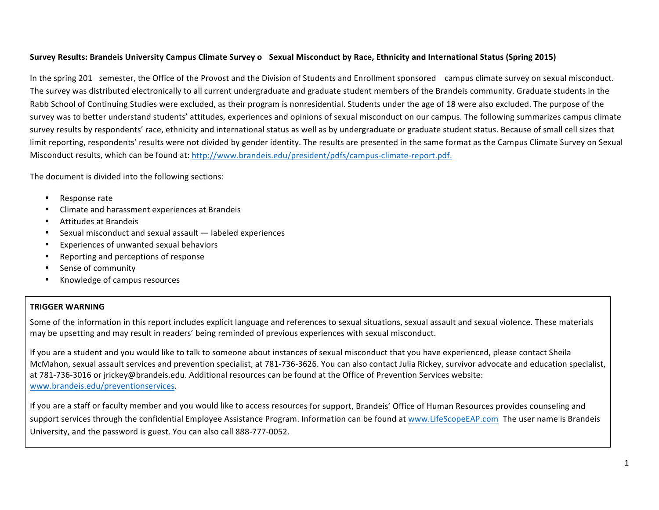# **Survey Results: Brandeis University Campus Climate Survey o Sexual Misconduct by Race, Ethnicity and International Status (Spring 2015)**

In the spring 201 semester, the Office of the Provost and the Division of Students and Enrollment sponsored campus climate survey on sexual misconduct. The survey was distributed electronically to all current undergraduate and graduate student members of the Brandeis community. Graduate students in the Rabb School of Continuing Studies were excluded, as their program is nonresidential. Students under the age of 18 were also excluded. The purpose of the survey was to better understand students' attitudes, experiences and opinions of sexual misconduct on our campus. The following summarizes campus climate survey results by respondents' race, ethnicity and international status as well as by undergraduate or graduate student status. Because of small cell sizes that limit reporting, respondents' results were not divided by gender identity. The results are presented in the same format as the Campus Climate Survey on Sexual Misconduct results, which can be found at: http://www.brandeis.edu/president/pdfs/campus-climate-report.pdf.

The document is divided into the following sections:

- Response rate
- Climate and harassment experiences at Brandeis
- Attitudes at Brandeis
- Sexual misconduct and sexual assault labeled experiences
- Experiences of unwanted sexual behaviors
- Reporting and perceptions of response
- Sense of community
- Knowledge of campus resources

# **TRIGGER WARNING**

Some of the information in this report includes explicit language and references to sexual situations, sexual assault and sexual violence. These materials may be upsetting and may result in readers' being reminded of previous experiences with sexual misconduct.

If you are a student and you would like to talk to someone about instances of sexual misconduct that you have experienced, please contact Sheila McMahon, sexual assault services and prevention specialist, at 781-736-3626. You can also contact Julia Rickey, survivor advocate and education specialist, at 781-736-3016 or jrickey@brandeis.edu. Additional resources can be found at the Office of Prevention Services website: www.brandeis.edu/preventionservices.

If you are a staff or faculty member and you would like to access resources for support, Brandeis' Office of Human Resources provides counseling and support services through the confidential Employee Assistance Program. Information can be found at www.LifeScopeEAP.com The user name is Brandeis University, and the password is guest. You can also call 888-777-0052.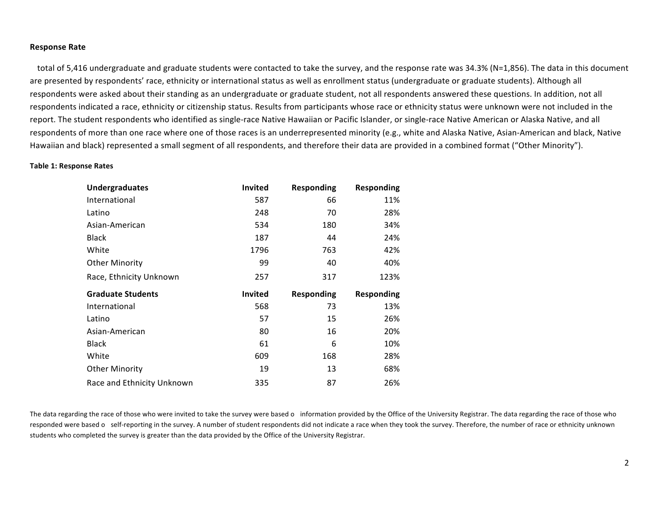#### **Response Rate**

total of 5,416 undergraduate and graduate students were contacted to take the survey, and the response rate was 34.3% (N=1,856). The data in this document are presented by respondents' race, ethnicity or international status as well as enrollment status (undergraduate or graduate students). Although all respondents were asked about their standing as an undergraduate or graduate student, not all respondents answered these questions. In addition, not all respondents indicated a race, ethnicity or citizenship status. Results from participants whose race or ethnicity status were unknown were not included in the report. The student respondents who identified as single-race Native Hawaiian or Pacific Islander, or single-race Native American or Alaska Native, and all respondents of more than one race where one of those races is an underrepresented minority (e.g., white and Alaska Native, Asian-American and black, Native Hawaiian and black) represented a small segment of all respondents, and therefore their data are provided in a combined format ("Other Minority").

#### **Table 1: Response Rates**

| <b>Undergraduates</b>    | Invited        | <b>Responding</b> | <b>Responding</b> |
|--------------------------|----------------|-------------------|-------------------|
| International            | 587            | 66                | 11%               |
| Latino                   | 248            | 70                | 28%               |
| Asian-American           | 534            | 180               | 34%               |
| <b>Black</b>             | 187            | 44                | 24%               |
| White                    | 1796           | 763               | 42%               |
| <b>Other Minority</b>    | 99             | 40                | 40%               |
| Race, Ethnicity Unknown  | 257            | 317               | 123%              |
|                          |                |                   |                   |
| <b>Graduate Students</b> | <b>Invited</b> | Responding        | <b>Responding</b> |
| International            | 568            | 73                | 13%               |
| Latino                   | 57             | 15                | 26%               |
| Asian-American           | 80             | 16                | 20%               |
| <b>Black</b>             | 61             | 6                 | 10%               |
| White                    | 609            | 168               | 28%               |
| <b>Other Minority</b>    | 19             | 13                | 68%               |

The data regarding the race of those who were invited to take the survey were based o information provided by the Office of the University Registrar. The data regarding the race of those who responded were based o self-reporting in the survey. A number of student respondents did not indicate a race when they took the survey. Therefore, the number of race or ethnicity unknown students who completed the survey is greater than the data provided by the Office of the University Registrar.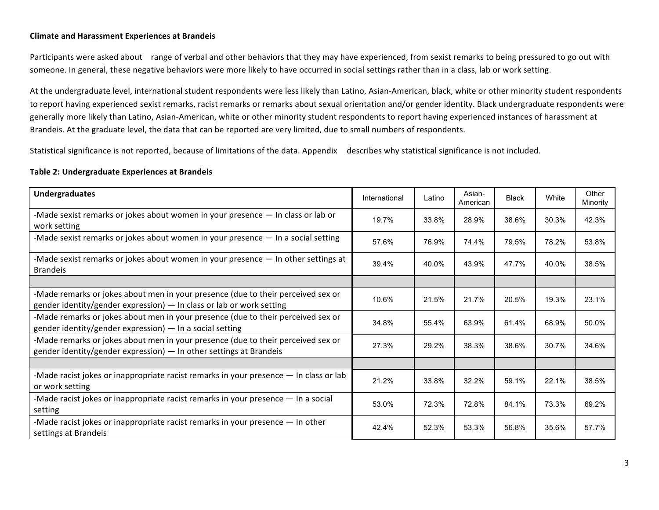# **Climate and Harassment Experiences at Brandeis**

Participants were asked about range of verbal and other behaviors that they may have experienced, from sexist remarks to being pressured to go out with someone. In general, these negative behaviors were more likely to have occurred in social settings rather than in a class, lab or work setting.

At the undergraduate level, international student respondents were less likely than Latino, Asian-American, black, white or other minority student respondents to report having experienced sexist remarks, racist remarks or remarks about sexual orientation and/or gender identity. Black undergraduate respondents were generally more likely than Latino, Asian-American, white or other minority student respondents to report having experienced instances of harassment at Brandeis. At the graduate level, the data that can be reported are very limited, due to small numbers of respondents.

Statistical significance is not reported, because of limitations of the data. Appendix describes why statistical significance is not included.

### **Table 2: Undergraduate Experiences at Brandeis**

| <b>Undergraduates</b>                                                                                                                                      | International | Latino | Asian-<br>American | Black | White | Other<br>Minority |
|------------------------------------------------------------------------------------------------------------------------------------------------------------|---------------|--------|--------------------|-------|-------|-------------------|
| -Made sexist remarks or jokes about women in your presence - In class or lab or<br>work setting                                                            | 19.7%         | 33.8%  | 28.9%              | 38.6% | 30.3% | 42.3%             |
| -Made sexist remarks or jokes about women in your presence - In a social setting                                                                           | 57.6%         | 76.9%  | 74.4%              | 79.5% | 78.2% | 53.8%             |
| -Made sexist remarks or jokes about women in your presence - In other settings at<br><b>Brandeis</b>                                                       | 39.4%         | 40.0%  | 43.9%              | 47.7% | 40.0% | 38.5%             |
|                                                                                                                                                            |               |        |                    |       |       |                   |
| -Made remarks or jokes about men in your presence (due to their perceived sex or<br>gender identity/gender expression) $-$ In class or lab or work setting | 10.6%         | 21.5%  | 21.7%              | 20.5% | 19.3% | 23.1%             |
| -Made remarks or jokes about men in your presence (due to their perceived sex or<br>gender identity/gender expression) $-$ In a social setting             | 34.8%         | 55.4%  | 63.9%              | 61.4% | 68.9% | 50.0%             |
| -Made remarks or jokes about men in your presence (due to their perceived sex or<br>gender identity/gender expression) $-$ In other settings at Brandeis   | 27.3%         | 29.2%  | 38.3%              | 38.6% | 30.7% | 34.6%             |
|                                                                                                                                                            |               |        |                    |       |       |                   |
| -Made racist jokes or inappropriate racist remarks in your presence - In class or lab<br>or work setting                                                   | 21.2%         | 33.8%  | 32.2%              | 59.1% | 22.1% | 38.5%             |
| -Made racist jokes or inappropriate racist remarks in your presence - In a social<br>setting                                                               | 53.0%         | 72.3%  | 72.8%              | 84.1% | 73.3% | 69.2%             |
| -Made racist jokes or inappropriate racist remarks in your presence - In other<br>settings at Brandeis                                                     | 42.4%         | 52.3%  | 53.3%              | 56.8% | 35.6% | 57.7%             |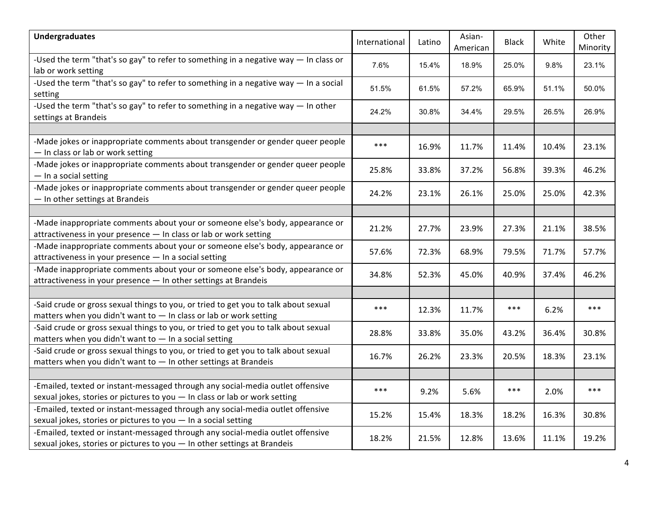| <b>Undergraduates</b>                                                                                                                                        | International | Latino | Asian-<br>American | Black | White | Other<br>Minority |
|--------------------------------------------------------------------------------------------------------------------------------------------------------------|---------------|--------|--------------------|-------|-------|-------------------|
| -Used the term "that's so gay" to refer to something in a negative way - In class or<br>lab or work setting                                                  | 7.6%          | 15.4%  | 18.9%              | 25.0% | 9.8%  | 23.1%             |
| -Used the term "that's so gay" to refer to something in a negative way $-$ In a social<br>setting                                                            | 51.5%         | 61.5%  | 57.2%              | 65.9% | 51.1% | 50.0%             |
| -Used the term "that's so gay" to refer to something in a negative way $-$ In other<br>settings at Brandeis                                                  | 24.2%         | 30.8%  | 34.4%              | 29.5% | 26.5% | 26.9%             |
|                                                                                                                                                              |               |        |                    |       |       |                   |
| -Made jokes or inappropriate comments about transgender or gender queer people<br>- In class or lab or work setting                                          | $***$         | 16.9%  | 11.7%              | 11.4% | 10.4% | 23.1%             |
| -Made jokes or inappropriate comments about transgender or gender queer people<br>- In a social setting                                                      | 25.8%         | 33.8%  | 37.2%              | 56.8% | 39.3% | 46.2%             |
| -Made jokes or inappropriate comments about transgender or gender queer people<br>- In other settings at Brandeis                                            | 24.2%         | 23.1%  | 26.1%              | 25.0% | 25.0% | 42.3%             |
|                                                                                                                                                              |               |        |                    |       |       |                   |
| -Made inappropriate comments about your or someone else's body, appearance or<br>attractiveness in your presence - In class or lab or work setting           | 21.2%         | 27.7%  | 23.9%              | 27.3% | 21.1% | 38.5%             |
| -Made inappropriate comments about your or someone else's body, appearance or<br>attractiveness in your presence - In a social setting                       | 57.6%         | 72.3%  | 68.9%              | 79.5% | 71.7% | 57.7%             |
| -Made inappropriate comments about your or someone else's body, appearance or<br>attractiveness in your presence - In other settings at Brandeis             | 34.8%         | 52.3%  | 45.0%              | 40.9% | 37.4% | 46.2%             |
|                                                                                                                                                              |               |        |                    |       |       |                   |
| -Said crude or gross sexual things to you, or tried to get you to talk about sexual<br>matters when you didn't want to - In class or lab or work setting     | $***$         | 12.3%  | 11.7%              | $***$ | 6.2%  | $***$             |
| -Said crude or gross sexual things to you, or tried to get you to talk about sexual<br>matters when you didn't want to - In a social setting                 | 28.8%         | 33.8%  | 35.0%              | 43.2% | 36.4% | 30.8%             |
| -Said crude or gross sexual things to you, or tried to get you to talk about sexual<br>matters when you didn't want to - In other settings at Brandeis       | 16.7%         | 26.2%  | 23.3%              | 20.5% | 18.3% | 23.1%             |
|                                                                                                                                                              |               |        |                    |       |       |                   |
| -Emailed, texted or instant-messaged through any social-media outlet offensive<br>sexual jokes, stories or pictures to you - In class or lab or work setting | $***$         | 9.2%   | 5.6%               | $***$ | 2.0%  | $***$             |
| -Emailed, texted or instant-messaged through any social-media outlet offensive<br>sexual jokes, stories or pictures to you - In a social setting             | 15.2%         | 15.4%  | 18.3%              | 18.2% | 16.3% | 30.8%             |
| -Emailed, texted or instant-messaged through any social-media outlet offensive<br>sexual jokes, stories or pictures to you - In other settings at Brandeis   | 18.2%         | 21.5%  | 12.8%              | 13.6% | 11.1% | 19.2%             |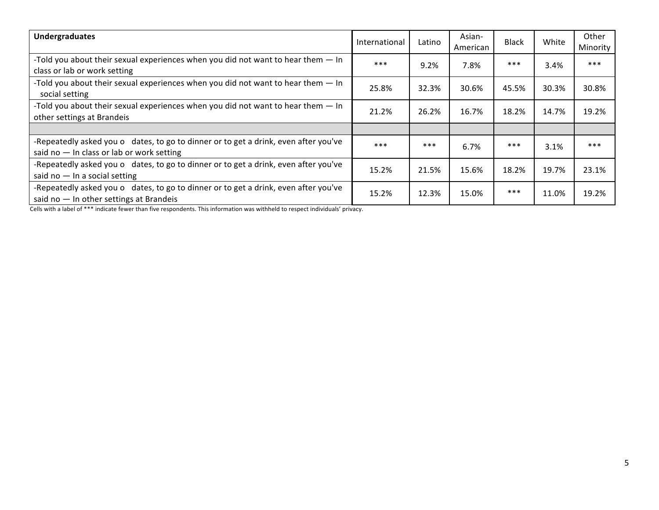| <b>Undergraduates</b>                                                                                                              | International | Latino | Asian-<br>American | <b>Black</b> | White | Other<br>Minority |
|------------------------------------------------------------------------------------------------------------------------------------|---------------|--------|--------------------|--------------|-------|-------------------|
| -Told you about their sexual experiences when you did not want to hear them $-$ In<br>class or lab or work setting                 | $***$         | 9.2%   | 7.8%               | $***$        | 3.4%  | $***$             |
| -Told you about their sexual experiences when you did not want to hear them - In<br>social setting                                 | 25.8%         | 32.3%  | 30.6%              | 45.5%        | 30.3% | 30.8%             |
| -Told you about their sexual experiences when you did not want to hear them - In<br>other settings at Brandeis                     | 21.2%         | 26.2%  | 16.7%              | 18.2%        | 14.7% | 19.2%             |
|                                                                                                                                    |               |        |                    |              |       |                   |
| -Repeatedly asked you o dates, to go to dinner or to get a drink, even after you've<br>said no $-$ In class or lab or work setting | $***$         | ***    | 6.7%               | $***$        | 3.1%  | $***$             |
| -Repeatedly asked you o dates, to go to dinner or to get a drink, even after you've<br>said no $-$ In a social setting             | 15.2%         | 21.5%  | 15.6%              | 18.2%        | 19.7% | 23.1%             |
| -Repeatedly asked you o dates, to go to dinner or to get a drink, even after you've<br>said no $-$ In other settings at Brandeis   | 15.2%         | 12.3%  | 15.0%              | ***          | 11.0% | 19.2%             |

Cells with a label of \*\*\* indicate fewer than five respondents. This information was withheld to respect individuals' privacy.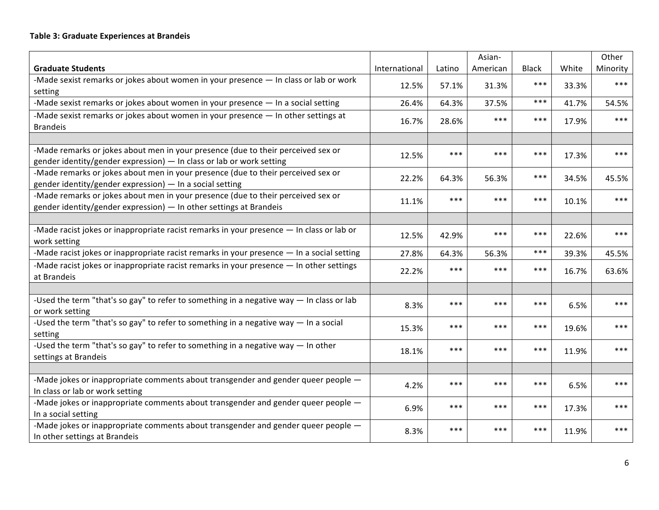# **Table 3: Graduate Experiences at Brandeis**

|                                                                                                                                                          |               |        | Asian-   |              |       | Other    |
|----------------------------------------------------------------------------------------------------------------------------------------------------------|---------------|--------|----------|--------------|-------|----------|
| <b>Graduate Students</b>                                                                                                                                 | International | Latino | American | <b>Black</b> | White | Minority |
| -Made sexist remarks or jokes about women in your presence - In class or lab or work                                                                     | 12.5%         | 57.1%  | 31.3%    | ***          | 33.3% | ***      |
| setting                                                                                                                                                  |               |        |          | ***          |       |          |
| -Made sexist remarks or jokes about women in your presence - In a social setting                                                                         | 26.4%         | 64.3%  | 37.5%    |              | 41.7% | 54.5%    |
| -Made sexist remarks or jokes about women in your presence - In other settings at<br><b>Brandeis</b>                                                     | 16.7%         | 28.6%  | ***      | $***$        | 17.9% | ***      |
|                                                                                                                                                          |               |        |          |              |       |          |
| -Made remarks or jokes about men in your presence (due to their perceived sex or<br>gender identity/gender expression) - In class or lab or work setting | 12.5%         | ***    | ***      | ***          | 17.3% | $***$    |
| -Made remarks or jokes about men in your presence (due to their perceived sex or<br>gender identity/gender expression) - In a social setting             | 22.2%         | 64.3%  | 56.3%    | ***          | 34.5% | 45.5%    |
| -Made remarks or jokes about men in your presence (due to their perceived sex or<br>gender identity/gender expression) - In other settings at Brandeis   | 11.1%         | ***    | ***      | $***$        | 10.1% | ***      |
|                                                                                                                                                          |               |        |          |              |       |          |
| -Made racist jokes or inappropriate racist remarks in your presence - In class or lab or<br>work setting                                                 | 12.5%         | 42.9%  | ***      | ***          | 22.6% | $***$    |
| -Made racist jokes or inappropriate racist remarks in your presence - In a social setting                                                                | 27.8%         | 64.3%  | 56.3%    | ***          | 39.3% | 45.5%    |
| -Made racist jokes or inappropriate racist remarks in your presence - In other settings<br>at Brandeis                                                   | 22.2%         | ***    | ***      | ***          | 16.7% | 63.6%    |
|                                                                                                                                                          |               |        |          |              |       |          |
| -Used the term "that's so gay" to refer to something in a negative way - In class or lab<br>or work setting                                              | 8.3%          | ***    | ***      | ***          | 6.5%  | ***      |
| -Used the term "that's so gay" to refer to something in a negative way $-$ In a social<br>setting                                                        | 15.3%         | ***    | ***      | ***          | 19.6% | ***      |
| -Used the term "that's so gay" to refer to something in a negative way - In other<br>settings at Brandeis                                                | 18.1%         | ***    | ***      | ***          | 11.9% | ***      |
|                                                                                                                                                          |               |        |          |              |       |          |
| -Made jokes or inappropriate comments about transgender and gender queer people -<br>In class or lab or work setting                                     | 4.2%          | ***    | ***      | ***          | 6.5%  | ***      |
| -Made jokes or inappropriate comments about transgender and gender queer people -<br>In a social setting                                                 | 6.9%          | ***    | ***      | ***          | 17.3% | ***      |
| -Made jokes or inappropriate comments about transgender and gender queer people -<br>In other settings at Brandeis                                       | 8.3%          | ***    | ***      | ***          | 11.9% | ***      |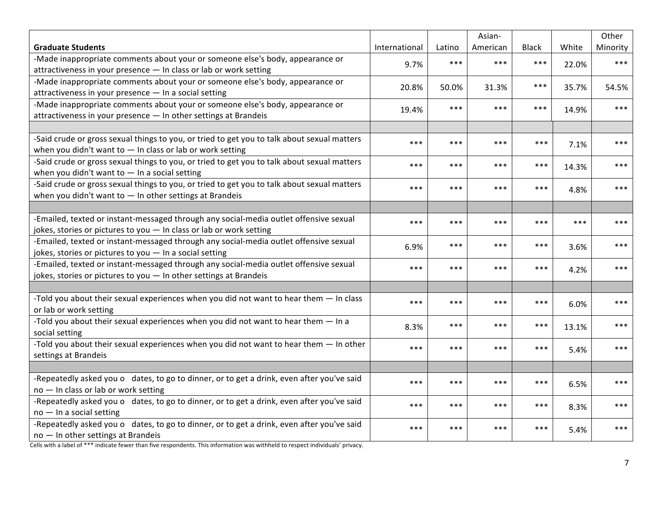|                                                                                             |               |        | Asian-   |              |       | Other    |
|---------------------------------------------------------------------------------------------|---------------|--------|----------|--------------|-------|----------|
| <b>Graduate Students</b>                                                                    | International | Latino | American | <b>Black</b> | White | Minority |
| -Made inappropriate comments about your or someone else's body, appearance or               | 9.7%          | ***    | $***$    | $***$        | 22.0% | $***$    |
| attractiveness in your presence - In class or lab or work setting                           |               |        |          |              |       |          |
| -Made inappropriate comments about your or someone else's body, appearance or               | 20.8%         | 50.0%  | 31.3%    | $***$        | 35.7% | 54.5%    |
| attractiveness in your presence - In a social setting                                       |               |        |          |              |       |          |
| -Made inappropriate comments about your or someone else's body, appearance or               | 19.4%         | ***    | $***$    | $***$        | 14.9% | ***      |
| attractiveness in your presence - In other settings at Brandeis                             |               |        |          |              |       |          |
|                                                                                             |               |        |          |              |       |          |
| -Said crude or gross sexual things to you, or tried to get you to talk about sexual matters | ***           | $***$  | ***      | ***          | 7.1%  | ***      |
| when you didn't want to $-$ In class or lab or work setting                                 |               |        |          |              |       |          |
| -Said crude or gross sexual things to you, or tried to get you to talk about sexual matters | ***           | ***    | ***      | $***$        | 14.3% | ***      |
| when you didn't want to $-$ In a social setting                                             |               |        |          |              |       |          |
| -Said crude or gross sexual things to you, or tried to get you to talk about sexual matters | ***           | ***    | ***      | ***          | 4.8%  | ***      |
| when you didn't want to $-$ In other settings at Brandeis                                   |               |        |          |              |       |          |
|                                                                                             |               |        |          |              |       |          |
| -Emailed, texted or instant-messaged through any social-media outlet offensive sexual       | $***$         | ***    | $***$    | $***$        | $***$ | ***      |
| jokes, stories or pictures to you - In class or lab or work setting                         |               |        |          |              |       |          |
| -Emailed, texted or instant-messaged through any social-media outlet offensive sexual       | 6.9%          | ***    | $***$    | $***$        | 3.6%  | $***$    |
| jokes, stories or pictures to you - In a social setting                                     |               |        |          |              |       |          |
| -Emailed, texted or instant-messaged through any social-media outlet offensive sexual       | $***$         | ***    | $***$    | $***$        | 4.2%  | $***$    |
| jokes, stories or pictures to you - In other settings at Brandeis                           |               |        |          |              |       |          |
|                                                                                             |               |        |          |              |       |          |
| -Told you about their sexual experiences when you did not want to hear them - In class      | $***$         | ***    | $***$    | $***$        | 6.0%  | ***      |
| or lab or work setting                                                                      |               |        |          |              |       |          |
| -Told you about their sexual experiences when you did not want to hear them - In a          | 8.3%          | ***    | ***      | $***$        | 13.1% | ***      |
| social setting                                                                              |               |        |          |              |       |          |
| -Told you about their sexual experiences when you did not want to hear them - In other      | ***           | $***$  | ***      | ***          | 5.4%  | ***      |
| settings at Brandeis                                                                        |               |        |          |              |       |          |
|                                                                                             |               |        |          |              |       |          |
| -Repeatedly asked you o dates, to go to dinner, or to get a drink, even after you've said   | $***$         | ***    | $***$    | $***$        | 6.5%  | ***      |
| no - In class or lab or work setting                                                        |               |        |          |              |       |          |
| -Repeatedly asked you o dates, to go to dinner, or to get a drink, even after you've said   | $***$         | ***    | $***$    | $***$        | 8.3%  | ***      |
| $no - In a social setting$                                                                  |               |        |          |              |       |          |
| -Repeatedly asked you o dates, to go to dinner, or to get a drink, even after you've said   | $***$         | ***    | $***$    | $***$        | 5.4%  | ***      |
| no - In other settings at Brandeis                                                          |               |        |          |              |       |          |

Cells with a label of \*\*\* indicate fewer than five respondents. This information was withheld to respect individuals' privacy.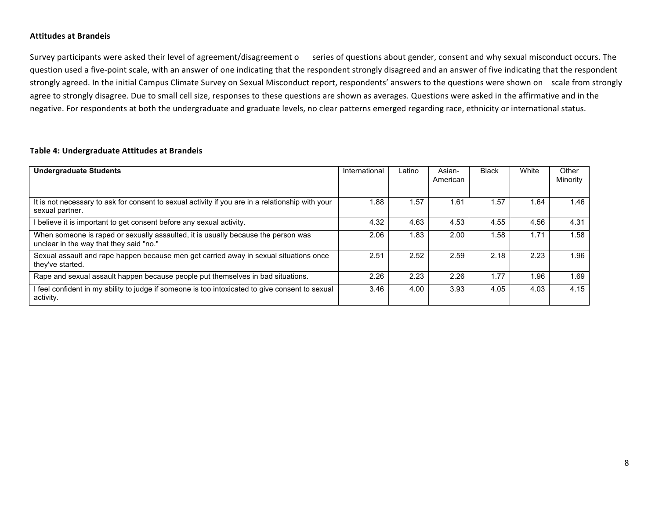### **Attitudes at Brandeis**

Survey participants were asked their level of agreement/disagreement o series of questions about gender, consent and why sexual misconduct occurs. The question used a five-point scale, with an answer of one indicating that the respondent strongly disagreed and an answer of five indicating that the respondent strongly agreed. In the initial Campus Climate Survey on Sexual Misconduct report, respondents' answers to the questions were shown on scale from strongly agree to strongly disagree. Due to small cell size, responses to these questions are shown as averages. Questions were asked in the affirmative and in the negative. For respondents at both the undergraduate and graduate levels, no clear patterns emerged regarding race, ethnicity or international status.

### **Table 4: Undergraduate Attitudes at Brandeis**

| <b>Undergraduate Students</b>                                                                                                | International | Latino | Asian-<br>American | Black | White | Other<br>Minority |
|------------------------------------------------------------------------------------------------------------------------------|---------------|--------|--------------------|-------|-------|-------------------|
| It is not necessary to ask for consent to sexual activity if you are in a relationship with your<br>sexual partner.          | 1.88          | 1.57   | 1.61               | 1.57  | .64   | 1.46              |
| I believe it is important to get consent before any sexual activity.                                                         | 4.32          | 4.63   | 4.53               | 4.55  | 4.56  | 4.31              |
| When someone is raped or sexually assaulted, it is usually because the person was<br>unclear in the way that they said "no." | 2.06          | 1.83   | 2.00               | 1.58  | 1.71  | 1.58              |
| Sexual assault and rape happen because men get carried away in sexual situations once<br>they've started.                    | 2.51          | 2.52   | 2.59               | 2.18  | 2.23  | 1.96              |
| Rape and sexual assault happen because people put themselves in bad situations.                                              | 2.26          | 2.23   | 2.26               | 1.77  | l.96  | 1.69              |
| I feel confident in my ability to judge if someone is too intoxicated to give consent to sexual<br>activity.                 | 3.46          | 4.00   | 3.93               | 4.05  | 4.03  | 4.15              |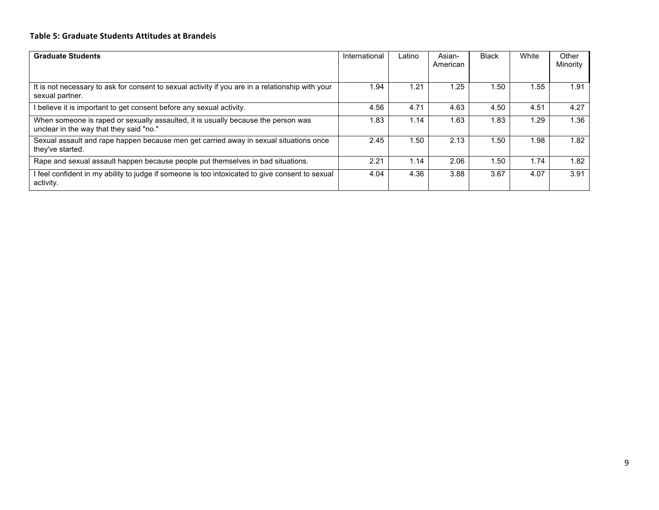# **Table 5: Graduate Students Attitudes at Brandeis**

| <b>Graduate Students</b>                                                                                                     | International | Latino | Asian-<br>American | <b>Black</b> | White | Other<br>Minority |
|------------------------------------------------------------------------------------------------------------------------------|---------------|--------|--------------------|--------------|-------|-------------------|
| It is not necessary to ask for consent to sexual activity if you are in a relationship with your<br>sexual partner.          | 1.94          | 1.21   | 1.25               | 50.،         | .55   | 1.91              |
| believe it is important to get consent before any sexual activity.                                                           | 4.56          | 4.71   | 4.63               | 4.50         | 4.51  | 4.27              |
| When someone is raped or sexually assaulted, it is usually because the person was<br>unclear in the way that they said "no." | .83           | 1.14   | 1.63               | 83.،         | 1.29  | 1.36              |
| Sexual assault and rape happen because men get carried away in sexual situations once<br>they've started.                    | 2.45          | 1.50   | 2.13               | 50،،         | 1.98  | 1.82              |
| Rape and sexual assault happen because people put themselves in bad situations.                                              | 2.21          | 1.14   | 2.06               | 1.50         | 1.74  | 1.82              |
| feel confident in my ability to judge if someone is too intoxicated to give consent to sexual<br>activity.                   | 4.04          | 4.36   | 3.88               | 3.67         | 4.07  | 3.91              |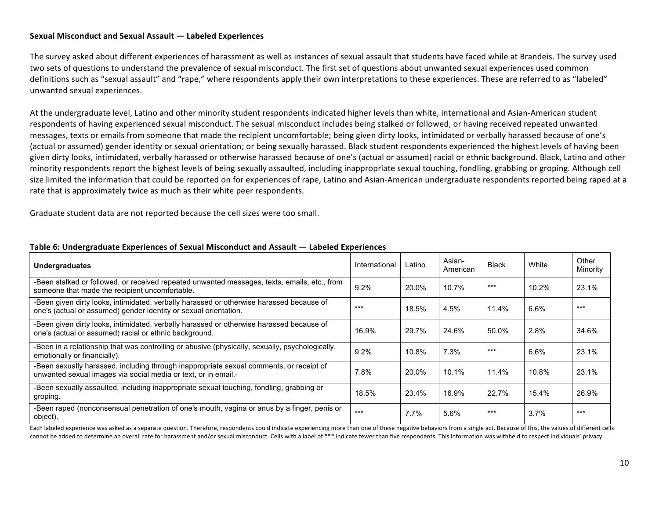# **Sexual Misconduct and Sexual Assault — Labeled Experiences**

The survey asked about different experiences of harassment as well as instances of sexual assault that students have faced while at Brandeis. The survey used two sets of questions to understand the prevalence of sexual misconduct. The first set of questions about unwanted sexual experiences used common definitions such as "sexual assault" and "rape," where respondents apply their own interpretations to these experiences. These are referred to as "labeled" unwanted sexual experiences.

At the undergraduate level, Latino and other minority student respondents indicated higher levels than white, international and Asian-American student respondents of having experienced sexual misconduct. The sexual misconduct includes being stalked or followed, or having received repeated unwanted messages, texts or emails from someone that made the recipient uncomfortable; being given dirty looks, intimidated or verbally harassed because of one's (actual or assumed) gender identity or sexual orientation; or being sexually harassed. Black student respondents experienced the highest levels of having been given dirty looks, intimidated, verbally harassed or otherwise harassed because of one's (actual or assumed) racial or ethnic background. Black, Latino and other minority respondents report the highest levels of being sexually assaulted, including inappropriate sexual touching, fondling, grabbing or groping. Although cell size limited the information that could be reported on for experiences of rape, Latino and Asian-American undergraduate respondents reported being raped at a rate that is approximately twice as much as their white peer respondents.

Graduate student data are not reported because the cell sizes were too small.

| <b>Undergraduates</b>                                                                                                                                        | International | Latino | Asian-<br>American | <b>Black</b> | White | Other<br>Minority |
|--------------------------------------------------------------------------------------------------------------------------------------------------------------|---------------|--------|--------------------|--------------|-------|-------------------|
| -Been stalked or followed, or received repeated unwanted messages, texts, emails, etc., from<br>someone that made the recipient uncomfortable.               | 9.2%          | 20.0%  | 10.7%              | ***          | 10.2% | 23.1%             |
| -Been given dirty looks, intimidated, verbally harassed or otherwise harassed because of<br>one's (actual or assumed) gender identity or sexual orientation. | ***           | 18.5%  | 4.5%               | 11.4%        | 6.6%  | $***$             |
| -Been given dirty looks, intimidated, verbally harassed or otherwise harassed because of<br>one's (actual or assumed) racial or ethnic background.           | 16.9%         | 29.7%  | 24.6%              | 50.0%        | 2.8%  | 34.6%             |
| -Been in a relationship that was controlling or abusive (physically, sexually, psychologically,<br>emotionally or financially).                              | 9.2%          | 10.8%  | 7.3%               | ***          | 6.6%  | 23.1%             |
| -Been sexually harassed, including through inappropriate sexual comments, or receipt of<br>unwanted sexual images via social media or text, or in email.     | 7.8%          | 20.0%  | 10.1%              | 11.4%        | 10.8% | 23.1%             |
| -Been sexually assaulted, including inappropriate sexual touching, fondling, grabbing or<br>groping.                                                         | 18.5%         | 23.4%  | 16.9%              | 22.7%        | 15.4% | 26.9%             |
| -Been raped (nonconsensual penetration of one's mouth, vagina or anus by a finger, penis or<br>object).                                                      | $***$         | 7.7%   | 5.6%               | $***$        | 3.7%  | $***$             |

### **Table 6: Undergraduate Experiences of Sexual Misconduct and Assault — Labeled Experiences**

Each labeled experience was asked as a separate question. Therefore, respondents could indicate experiencing more than one of these negative behaviors from a single act. Because of this, the values of different cells cannot be added to determine an overall rate for harassment and/or sexual misconduct. Cells with a label of \*\*\* indicate fewer than five respondents. This information was withheld to respect individuals' privacy.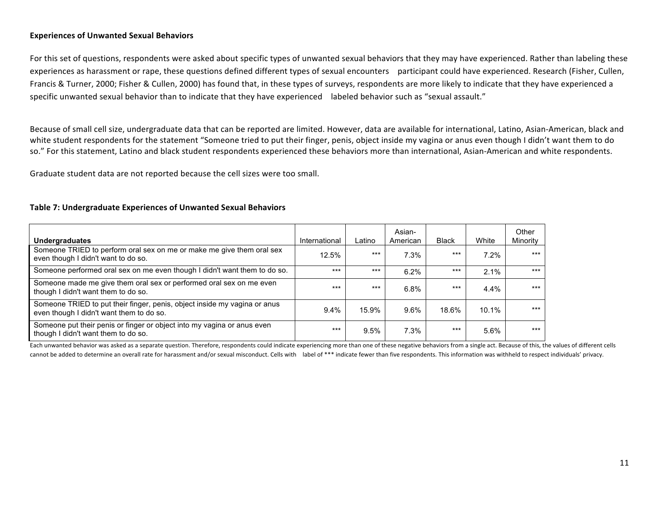# **Experiences of Unwanted Sexual Behaviors**

For this set of questions, respondents were asked about specific types of unwanted sexual behaviors that they may have experienced. Rather than labeling these experiences as harassment or rape, these questions defined different types of sexual encounters participant could have experienced. Research (Fisher, Cullen, Francis & Turner, 2000; Fisher & Cullen, 2000) has found that, in these types of surveys, respondents are more likely to indicate that they have experienced a specific unwanted sexual behavior than to indicate that they have experienced labeled behavior such as "sexual assault."

Because of small cell size, undergraduate data that can be reported are limited. However, data are available for international, Latino, Asian-American, black and white student respondents for the statement "Someone tried to put their finger, penis, object inside my vagina or anus even though I didn't want them to do so." For this statement, Latino and black student respondents experienced these behaviors more than international, Asian-American and white respondents.

Graduate student data are not reported because the cell sizes were too small.

#### **Table 7: Undergraduate Experiences of Unwanted Sexual Behaviors**

| <b>Undergraduates</b>                                                                                                 | International | Latino | Asian-<br>American | <b>Black</b> | White    | Other<br>Minority |
|-----------------------------------------------------------------------------------------------------------------------|---------------|--------|--------------------|--------------|----------|-------------------|
| Someone TRIED to perform oral sex on me or make me give them oral sex<br>even though I didn't want to do so.          | 12.5%         | $***$  | 7.3%               | $***$        | 7.2%     | $***$             |
| Someone performed oral sex on me even though I didn't want them to do so.                                             | $***$         | $***$  | 6.2%               | $***$        | 2.1%     | $***$             |
| Someone made me give them oral sex or performed oral sex on me even<br>though I didn't want them to do so.            | $***$         | $***$  | 6.8%               | $***$        | $4.4\%$  | $***$             |
| Someone TRIED to put their finger, penis, object inside my vagina or anus<br>even though I didn't want them to do so. | $9.4\%$       | 15.9%  | $9.6\%$            | 18.6%        | $10.1\%$ | $***$             |
| Someone put their penis or finger or object into my vagina or anus even<br>though I didn't want them to do so.        | $***$         | 9.5%   | 7.3%               | $***$        | 5.6%     | $***$             |

Each unwanted behavior was asked as a separate question. Therefore, respondents could indicate experiencing more than one of these negative behaviors from a single act. Because of this, the values of different cells cannot be added to determine an overall rate for harassment and/or sexual misconduct. Cells with label of \*\*\* indicate fewer than five respondents. This information was withheld to respect individuals' privacy.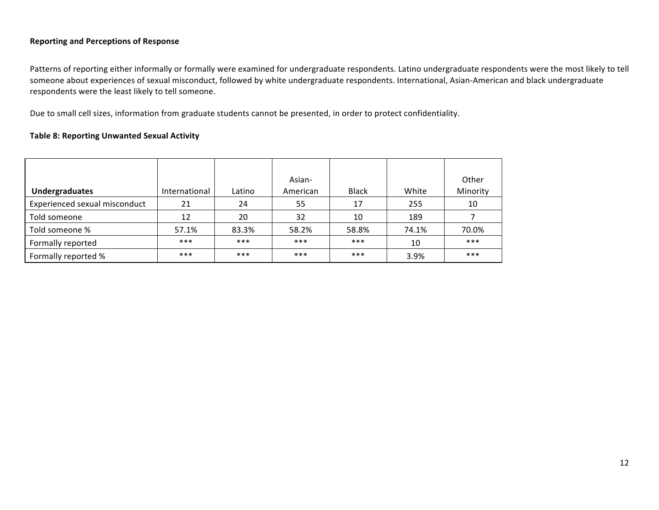# **Reporting and Perceptions of Response**

Patterns of reporting either informally or formally were examined for undergraduate respondents. Latino undergraduate respondents were the most likely to tell someone about experiences of sexual misconduct, followed by white undergraduate respondents. International, Asian-American and black undergraduate respondents were the least likely to tell someone.

Due to small cell sizes, information from graduate students cannot be presented, in order to protect confidentiality.

# **Table 8: Reporting Unwanted Sexual Activity**

| <b>Undergraduates</b>         | International | Latino | Asian-<br>American | <b>Black</b> | White | Other<br>Minority |
|-------------------------------|---------------|--------|--------------------|--------------|-------|-------------------|
| Experienced sexual misconduct | 21            | 24     | 55                 | 17           | 255   | 10                |
| Told someone                  | 12            | 20     | 32                 | 10           | 189   |                   |
| Told someone %                | 57.1%         | 83.3%  | 58.2%              | 58.8%        | 74.1% | 70.0%             |
| Formally reported             | $***$         | ***    | $***$              | ***          | 10    | $***$             |
| Formally reported %           | ***           | ***    | $***$              | ***          | 3.9%  | $***$             |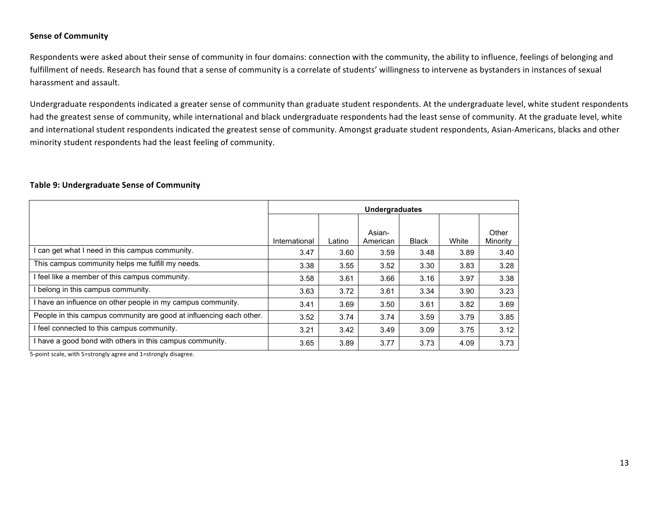# **Sense of Community**

Respondents were asked about their sense of community in four domains: connection with the community, the ability to influence, feelings of belonging and fulfillment of needs. Research has found that a sense of community is a correlate of students' willingness to intervene as bystanders in instances of sexual harassment and assault.

Undergraduate respondents indicated a greater sense of community than graduate student respondents. At the undergraduate level, white student respondents had the greatest sense of community, while international and black undergraduate respondents had the least sense of community. At the graduate level, white and international student respondents indicated the greatest sense of community. Amongst graduate student respondents, Asian-Americans, blacks and other minority student respondents had the least feeling of community.

### **Table 9: Undergraduate Sense of Community**

|                                                                     | <b>Undergraduates</b> |        |                    |              |       |                   |  |  |
|---------------------------------------------------------------------|-----------------------|--------|--------------------|--------------|-------|-------------------|--|--|
|                                                                     | International         | Latino | Asian-<br>American | <b>Black</b> | White | Other<br>Minority |  |  |
| I can get what I need in this campus community.                     | 3.47                  | 3.60   | 3.59               | 3.48         | 3.89  | 3.40              |  |  |
| This campus community helps me fulfill my needs.                    | 3.38                  | 3.55   | 3.52               | 3.30         | 3.83  | 3.28              |  |  |
| I feel like a member of this campus community.                      | 3.58                  | 3.61   | 3.66               | 3.16         | 3.97  | 3.38              |  |  |
| I belong in this campus community.                                  | 3.63                  | 3.72   | 3.61               | 3.34         | 3.90  | 3.23              |  |  |
| I have an influence on other people in my campus community.         | 3.41                  | 3.69   | 3.50               | 3.61         | 3.82  | 3.69              |  |  |
| People in this campus community are good at influencing each other. | 3.52                  | 3.74   | 3.74               | 3.59         | 3.79  | 3.85              |  |  |
| I feel connected to this campus community.                          | 3.21                  | 3.42   | 3.49               | 3.09         | 3.75  | 3.12              |  |  |
| I have a good bond with others in this campus community.            | 3.65                  | 3.89   | 3.77               | 3.73         | 4.09  | 3.73              |  |  |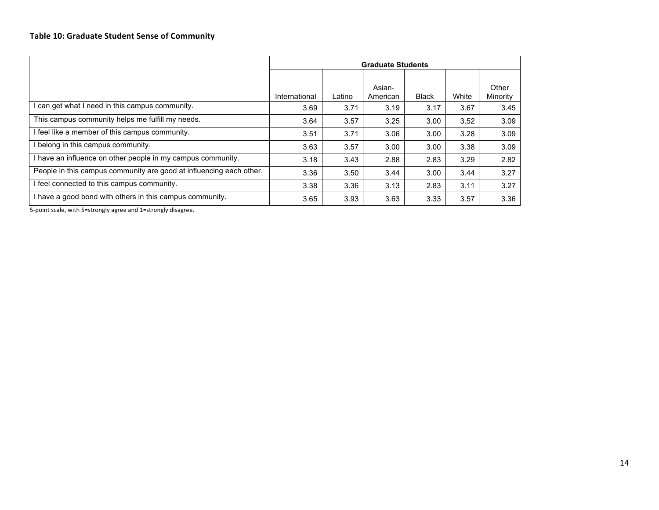|                                                                     | <b>Graduate Students</b> |        |                    |              |       |                   |  |  |
|---------------------------------------------------------------------|--------------------------|--------|--------------------|--------------|-------|-------------------|--|--|
|                                                                     | International            | Latino | Asian-<br>American | <b>Black</b> | White | Other<br>Minority |  |  |
| can get what I need in this campus community.                       | 3.69                     | 3.71   | 3.19               | 3.17         | 3.67  | 3.45              |  |  |
| This campus community helps me fulfill my needs.                    | 3.64                     | 3.57   | 3.25               | 3.00         | 3.52  | 3.09              |  |  |
| feel like a member of this campus community.                        | 3.51                     | 3.71   | 3.06               | 3.00         | 3.28  | 3.09              |  |  |
| belong in this campus community.                                    | 3.63                     | 3.57   | 3.00               | 3.00         | 3.38  | 3.09              |  |  |
| I have an influence on other people in my campus community.         | 3.18                     | 3.43   | 2.88               | 2.83         | 3.29  | 2.82              |  |  |
| People in this campus community are good at influencing each other. | 3.36                     | 3.50   | 3.44               | 3.00         | 3.44  | 3.27              |  |  |
| feel connected to this campus community.                            | 3.38                     | 3.36   | 3.13               | 2.83         | 3.11  | 3.27              |  |  |
| I have a good bond with others in this campus community.            | 3.65                     | 3.93   | 3.63               | 3.33         | 3.57  | 3.36              |  |  |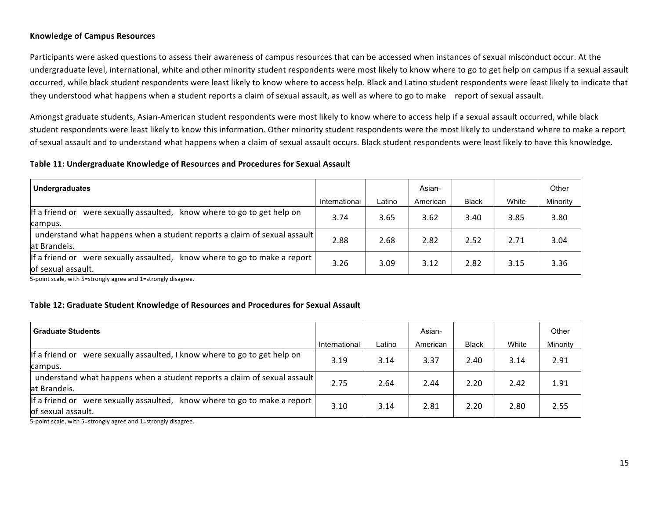### **Knowledge of Campus Resources**

Participants were asked questions to assess their awareness of campus resources that can be accessed when instances of sexual misconduct occur. At the undergraduate level, international, white and other minority student respondents were most likely to know where to go to get help on campus if a sexual assault occurred, while black student respondents were least likely to know where to access help. Black and Latino student respondents were least likely to indicate that they understood what happens when a student reports a claim of sexual assault, as well as where to go to make report of sexual assault.

Amongst graduate students, Asian-American student respondents were most likely to know where to access help if a sexual assault occurred, while black student respondents were least likely to know this information. Other minority student respondents were the most likely to understand where to make a report of sexual assault and to understand what happens when a claim of sexual assault occurs. Black student respondents were least likely to have this knowledge.

### **Table 11: Undergraduate Knowledge of Resources and Procedures for Sexual Assault**

| Undergraduates                                                                                      |               |        | Asian-   |              |       | Other    |
|-----------------------------------------------------------------------------------------------------|---------------|--------|----------|--------------|-------|----------|
|                                                                                                     | International | Latino | American | <b>Black</b> | White | Minority |
| were sexually assaulted,<br>llf a friend or<br>know where to go to get help on<br>campus.           | 3.74          | 3.65   | 3.62     | 3.40         | 3.85  | 3.80     |
| understand what happens when a student reports a claim of sexual assault<br>lat Brandeis.           | 2.88          | 2.68   | 2.82     | 2.52         | 2.71  | 3.04     |
| If a friend or were sexually assaulted,<br>know where to go to make a report<br>lof sexual assault. | 3.26          | 3.09   | 3.12     | 2.82         | 3.15  | 3.36     |

5-point scale, with 5=strongly agree and 1=strongly disagree.

# **Table 12: Graduate Student Knowledge of Resources and Procedures for Sexual Assault**

| <b>Graduate Students</b>                                                                           |               |        | Asian-   |              |       | Other    |
|----------------------------------------------------------------------------------------------------|---------------|--------|----------|--------------|-------|----------|
|                                                                                                    | International | Latino | American | <b>Black</b> | White | Minority |
| If a friend or<br>were sexually assaulted, I know where to go to get help on<br>campus.            | 3.19          | 3.14   | 3.37     | 2.40         | 3.14  | 2.91     |
| understand what happens when a student reports a claim of sexual assault<br>at Brandeis.           | 2.75          | 2.64   | 2.44     | 2.20         | 2.42  | 1.91     |
| If a friend or were sexually assaulted,<br>know where to go to make a report<br>of sexual assault. | 3.10          | 3.14   | 2.81     | 2.20         | 2.80  | 2.55     |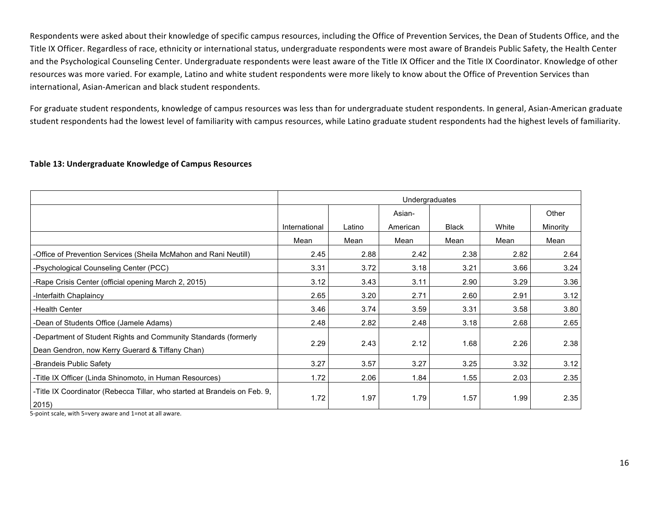Respondents were asked about their knowledge of specific campus resources, including the Office of Prevention Services, the Dean of Students Office, and the Title IX Officer. Regardless of race, ethnicity or international status, undergraduate respondents were most aware of Brandeis Public Safety, the Health Center and the Psychological Counseling Center. Undergraduate respondents were least aware of the Title IX Officer and the Title IX Coordinator. Knowledge of other resources was more varied. For example, Latino and white student respondents were more likely to know about the Office of Prevention Services than international, Asian-American and black student respondents.

For graduate student respondents, knowledge of campus resources was less than for undergraduate student respondents. In general, Asian-American graduate student respondents had the lowest level of familiarity with campus resources, while Latino graduate student respondents had the highest levels of familiarity.

### Table 13: Undergraduate Knowledge of Campus Resources

|                                                                                                                    | Undergraduates |        |          |              |       |          |  |  |  |
|--------------------------------------------------------------------------------------------------------------------|----------------|--------|----------|--------------|-------|----------|--|--|--|
|                                                                                                                    |                |        | Asian-   |              |       | Other    |  |  |  |
|                                                                                                                    | International  | Latino | American | <b>Black</b> | White | Minority |  |  |  |
|                                                                                                                    | Mean           | Mean   | Mean     | Mean         | Mean  | Mean     |  |  |  |
| -Office of Prevention Services (Sheila McMahon and Rani Neutill)                                                   | 2.45           | 2.88   | 2.42     | 2.38         | 2.82  | 2.64     |  |  |  |
| -Psychological Counseling Center (PCC)                                                                             | 3.31           | 3.72   | 3.18     | 3.21         | 3.66  | 3.24     |  |  |  |
| -Rape Crisis Center (official opening March 2, 2015)                                                               | 3.12           | 3.43   | 3.11     | 2.90         | 3.29  | 3.36     |  |  |  |
| -Interfaith Chaplaincy                                                                                             | 2.65           | 3.20   | 2.71     | 2.60         | 2.91  | 3.12     |  |  |  |
| -Health Center                                                                                                     | 3.46           | 3.74   | 3.59     | 3.31         | 3.58  | 3.80     |  |  |  |
| -Dean of Students Office (Jamele Adams)                                                                            | 2.48           | 2.82   | 2.48     | 3.18         | 2.68  | 2.65     |  |  |  |
| -Department of Student Rights and Community Standards (formerly<br>Dean Gendron, now Kerry Guerard & Tiffany Chan) | 2.29           | 2.43   | 2.12     | 1.68         | 2.26  | 2.38     |  |  |  |
| -Brandeis Public Safety                                                                                            | 3.27           | 3.57   | 3.27     | 3.25         | 3.32  | 3.12     |  |  |  |
| -Title IX Officer (Linda Shinomoto, in Human Resources)                                                            | 1.72           | 2.06   | 1.84     | 1.55         | 2.03  | 2.35     |  |  |  |
| -Title IX Coordinator (Rebecca Tillar, who started at Brandeis on Feb. 9,<br>2015)                                 | 1.72           | 1.97   | 1.79     | 1.57         | 1.99  | 2.35     |  |  |  |

5-point scale, with 5=very aware and 1=not at all aware.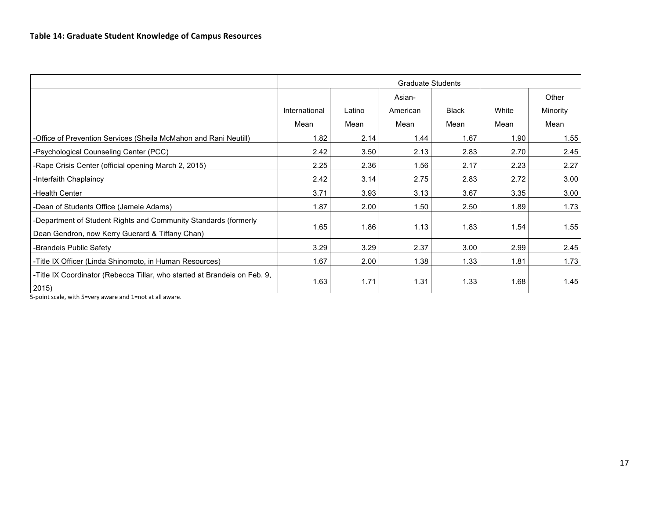|                                                                                                                                                      | <b>Graduate Students</b> |        |          |              |       |          |  |  |  |
|------------------------------------------------------------------------------------------------------------------------------------------------------|--------------------------|--------|----------|--------------|-------|----------|--|--|--|
|                                                                                                                                                      |                          |        | Asian-   |              |       | Other    |  |  |  |
|                                                                                                                                                      | International            | Latino | American | <b>Black</b> | White | Minority |  |  |  |
|                                                                                                                                                      | Mean                     | Mean   | Mean     | Mean         | Mean  | Mean     |  |  |  |
| -Office of Prevention Services (Sheila McMahon and Rani Neutill)                                                                                     | 1.82                     | 2.14   | 1.44     | 1.67         | 1.90  | 1.55     |  |  |  |
| -Psychological Counseling Center (PCC)                                                                                                               | 2.42                     | 3.50   | 2.13     | 2.83         | 2.70  | 2.45     |  |  |  |
| -Rape Crisis Center (official opening March 2, 2015)                                                                                                 | 2.25                     | 2.36   | 1.56     | 2.17         | 2.23  | 2.27     |  |  |  |
| -Interfaith Chaplaincy                                                                                                                               | 2.42                     | 3.14   | 2.75     | 2.83         | 2.72  | 3.00     |  |  |  |
| -Health Center                                                                                                                                       | 3.71                     | 3.93   | 3.13     | 3.67         | 3.35  | 3.00     |  |  |  |
| -Dean of Students Office (Jamele Adams)                                                                                                              | 1.87                     | 2.00   | 1.50     | 2.50         | 1.89  | 1.73     |  |  |  |
| -Department of Student Rights and Community Standards (formerly<br>Dean Gendron, now Kerry Guerard & Tiffany Chan)                                   | 1.65                     | 1.86   | 1.13     | 1.83         | 1.54  | 1.55     |  |  |  |
| -Brandeis Public Safety                                                                                                                              | 3.29                     | 3.29   | 2.37     | 3.00         | 2.99  | 2.45     |  |  |  |
| -Title IX Officer (Linda Shinomoto, in Human Resources)                                                                                              | 1.67                     | 2.00   | 1.38     | 1.33         | 1.81  | 1.73     |  |  |  |
| -Title IX Coordinator (Rebecca Tillar, who started at Brandeis on Feb. 9,<br>2015)<br>$\sim$ $\sim$ $\sim$ $\sim$ $\sim$ $\sim$<br>$\cdots$ $\cdots$ | 1.63                     | 1.71   | 1.31     | 1.33         | 1.68  | 1.45     |  |  |  |

5-point scale, with 5=very aware and 1=not at all aware.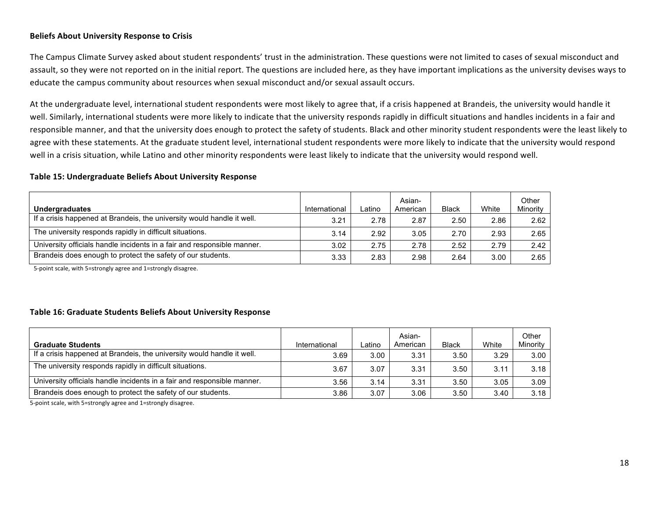# **Beliefs About University Response to Crisis**

The Campus Climate Survey asked about student respondents' trust in the administration. These questions were not limited to cases of sexual misconduct and assault, so they were not reported on in the initial report. The questions are included here, as they have important implications as the university devises ways to educate the campus community about resources when sexual misconduct and/or sexual assault occurs.

At the undergraduate level, international student respondents were most likely to agree that, if a crisis happened at Brandeis, the university would handle it well. Similarly, international students were more likely to indicate that the university responds rapidly in difficult situations and handles incidents in a fair and responsible manner, and that the university does enough to protect the safety of students. Black and other minority student respondents were the least likely to agree with these statements. At the graduate student level, international student respondents were more likely to indicate that the university would respond well in a crisis situation, while Latino and other minority respondents were least likely to indicate that the university would respond well.

# **Table 15: Undergraduate Beliefs About University Response**

| <b>Undergraduates</b>                                                   | International | Latino | Asian-<br>American | <b>Black</b> | White | Other<br>Minority |
|-------------------------------------------------------------------------|---------------|--------|--------------------|--------------|-------|-------------------|
| If a crisis happened at Brandeis, the university would handle it well.  | 3.21          | 2.78   | 2.87               | 2.50         | 2.86  | 2.62              |
| The university responds rapidly in difficult situations.                | 3.14          | 2.92   | 3.05               | 2.70         | 2.93  | 2.65              |
| University officials handle incidents in a fair and responsible manner. | 3.02          | 2.75   | 2.78               | 2.52         | 2.79  | 2.42              |
| Brandeis does enough to protect the safety of our students.             | 3.33          | 2.83   | 2.98               | 2.64         | 3.00  | 2.65              |

5-point scale, with 5=strongly agree and 1=strongly disagree.

# **Table 16: Graduate Students Beliefs About University Response**

| <b>Graduate Students</b>                                                | International | ∟atino | Asian-<br>American | <b>Black</b> | White | Other<br>Minority |
|-------------------------------------------------------------------------|---------------|--------|--------------------|--------------|-------|-------------------|
| If a crisis happened at Brandeis, the university would handle it well.  | 3.69          | 3.00   | 3.31               | 3.50         | 3.29  | 3.00              |
| The university responds rapidly in difficult situations.                | 3.67          | 3.07   | 3.31               | 3.50         | 3.11  | 3.18              |
| University officials handle incidents in a fair and responsible manner. | 3.56          | 3.14   | 3.31               | 3.50         | 3.05  | 3.09              |
| Brandeis does enough to protect the safety of our students.             | 3.86          | 3.07   | 3.06               | 3.50         | 3.40  | 3.18              |